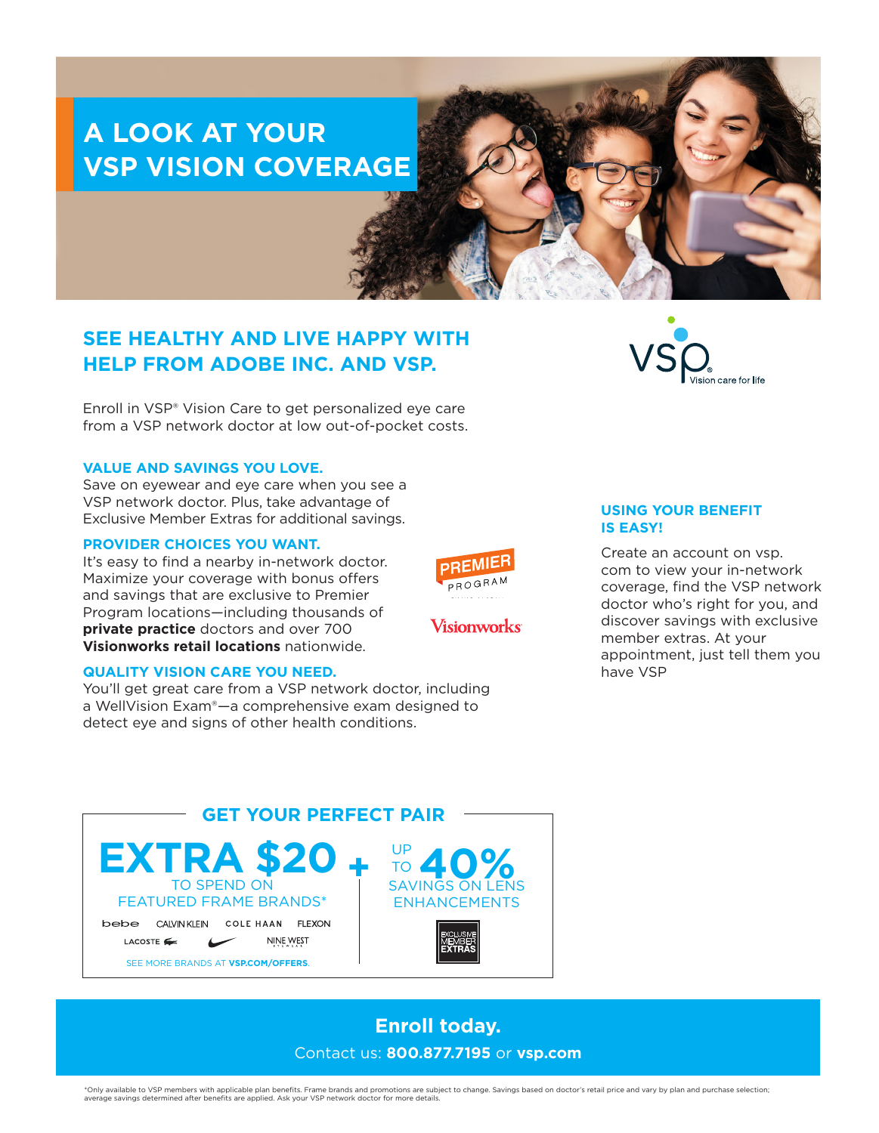# **A LOOK AT YOUR VSP VISION COVERAGE**

## **SEE HEALTHY AND LIVE HAPPY WITH HELP FROM ADOBE INC. AND VSP.**

Enroll in VSP® Vision Care to get personalized eye care from a VSP network doctor at low out-of-pocket costs.

#### **VALUE AND SAVINGS YOU LOVE.**

Save on eyewear and eye care when you see a VSP network doctor. Plus, take advantage of Exclusive Member Extras for additional savings.

### **PROVIDER CHOICES YOU WANT.**

It's easy to find a nearby in-network doctor. Maximize your coverage with bonus offers and savings that are exclusive to Premier Program locations—including thousands of **private practice** doctors and over 700 **Visionworks retail locations** nationwide.

#### **QUALITY VISION CARE YOU NEED.**

SEE MORE BRANDS AT **VSP.COM/OFFERS**.

bebe CALVINKLEIN COLE HAAN FLEXON

LACOSTE

TO SPEND ON FEATURED FRAME BRANDS\*

**EXTRA \$2** 

You'll get great care from a VSP network doctor, including a WellVision Exam®—a comprehensive exam designed to detect eye and signs of other health conditions.

**USING YOUR BENEFIT IS EASY!**

Create an account on vsp. com to view your in-network coverage, find the VSP network doctor who's right for you, and discover savings with exclusive member extras. At your appointment, just tell them you have VSP



#### \*Only available to VSP members with applicable plan benefits. Frame brands and promotions are subject to change. Savings based on doctor's retail price and vary by plan and purchase selection; average savings determined after benefits are applied. Ask your VSP network doctor for more details.

NINE WEST

**GET YOUR PERFECT PAIR**





**PREMIE** PROGRAM

**Visionworks**